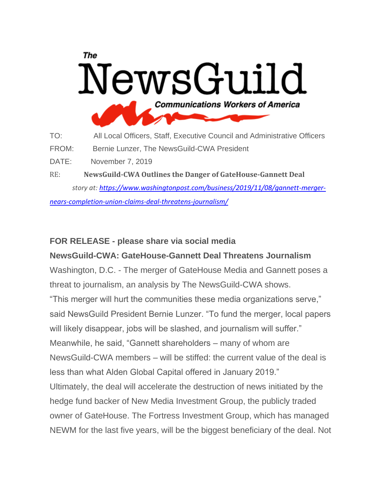## The NewsGuild **Communications Workers of America**

TO: All Local Officers, Staff, Executive Council and Administrative Officers FROM: Bernie Lunzer, The NewsGuild-CWA President DATE: November 7, 2019

RE: **NewsGuild-CWA Outlines the Danger of GateHouse-Gannett Deal** *story at: [https://www.washingtonpost.com/business/2019/11/08/gannett-merger-](https://u1584542.ct.sendgrid.net/mps2/c/4gA/ni0YAA/t.2wj/wdc_5JSFSm-cPvc_Ukl-kw/h1/cCgmMiFATr20XfiZfvCwARd9KP4lK8YYF2Bb8CcwQMgrXzqOwcPS9l7ESIEZ7-2FpvMZpPcH9nBUtJZ4DagY30EQTMUmVu6RTbiYh1C1a0pMIyt9BjbOgGbmt1DzF6U2P0rP93W6f01ZbS-2BJ-2BCJFxVrvONXiEKunBRKD-2BH8r6Ln3nFqrutLA-2Fa9R8noXaytyVhksJnrIIKUUxl-2FV2XQmYkIOQJX3C027CvXtv-2BXRcGMENezCycO-2BekvmgTi28kE-2Bf1C-2B3ZIYWp0nJWosw7cVVDZDSrtQf-2Bmq3xe2QJo11-2FoCXVjFs-2BeCYVbp9NO5Dxs9MpvXyOTq7so5F1-2BBr4VLUOUi8CqunWCZfywJ-2FxE3xOiuZLkxUBmibE3drb0wdZkeS0u8-2BH2U7aw2QQBkVgmilDfDzewhTtuEqP-2FJyjgbncM2KpdU1GJqYQfJcOHEcpr7XCkEVgYGG4eVvI3PwiZpWXI5J7W-2FUL2e790-2BUe51WsS0h1-2BLvHW8xZtZB4MnYrRb71zIm6B8cIdhhOpCQNtLoU2g-3D-3D/P5om)*

*[nears-completion-union-claims-deal-threatens-journalism/](https://u1584542.ct.sendgrid.net/mps2/c/4gA/ni0YAA/t.2wj/wdc_5JSFSm-cPvc_Ukl-kw/h1/cCgmMiFATr20XfiZfvCwARd9KP4lK8YYF2Bb8CcwQMgrXzqOwcPS9l7ESIEZ7-2FpvMZpPcH9nBUtJZ4DagY30EQTMUmVu6RTbiYh1C1a0pMIyt9BjbOgGbmt1DzF6U2P0rP93W6f01ZbS-2BJ-2BCJFxVrvONXiEKunBRKD-2BH8r6Ln3nFqrutLA-2Fa9R8noXaytyVhksJnrIIKUUxl-2FV2XQmYkIOQJX3C027CvXtv-2BXRcGMENezCycO-2BekvmgTi28kE-2Bf1C-2B3ZIYWp0nJWosw7cVVDZDSrtQf-2Bmq3xe2QJo11-2FoCXVjFs-2BeCYVbp9NO5Dxs9MpvXyOTq7so5F1-2BBr4VLUOUi8CqunWCZfywJ-2FxE3xOiuZLkxUBmibE3drb0wdZkeS0u8-2BH2U7aw2QQBkVgmilDfDzewhTtuEqP-2FJyjgbncM2KpdU1GJqYQfJcOHEcpr7XCkEVgYGG4eVvI3PwiZpWXI5J7W-2FUL2e790-2BUe51WsS0h1-2BLvHW8xZtZB4MnYrRb71zIm6B8cIdhhOpCQNtLoU2g-3D-3D/P5om)*

## **FOR RELEASE - please share via social media**

**NewsGuild-CWA: GateHouse-Gannett Deal Threatens Journalism** Washington, D.C. - The merger of GateHouse Media and Gannett poses a threat to journalism, an analysis by The NewsGuild-CWA shows. "This merger will hurt the communities these media organizations serve," said NewsGuild President Bernie Lunzer. "To fund the merger, local papers will likely disappear, jobs will be slashed, and journalism will suffer." Meanwhile, he said, "Gannett shareholders – many of whom are NewsGuild-CWA members – will be stiffed: the current value of the deal is less than what Alden Global Capital offered in January 2019." Ultimately, the deal will accelerate the destruction of news initiated by the hedge fund backer of New Media Investment Group, the publicly traded owner of GateHouse. The Fortress Investment Group, which has managed NEWM for the last five years, will be the biggest beneficiary of the deal. Not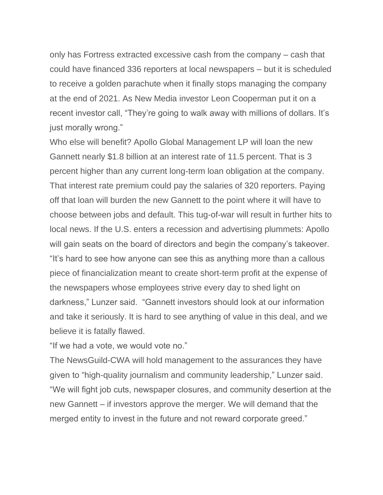only has Fortress extracted excessive cash from the company – cash that could have financed 336 reporters at local newspapers – but it is scheduled to receive a golden parachute when it finally stops managing the company at the end of 2021. As New Media investor Leon Cooperman put it on a recent investor call, "They're going to walk away with millions of dollars. It's just morally wrong."

Who else will benefit? Apollo Global Management LP will loan the new Gannett nearly \$1.8 billion at an interest rate of 11.5 percent. That is 3 percent higher than any current long-term loan obligation at the company. That interest rate premium could pay the salaries of 320 reporters. Paying off that loan will burden the new Gannett to the point where it will have to choose between jobs and default. This tug-of-war will result in further hits to local news. If the U.S. enters a recession and advertising plummets: Apollo will gain seats on the board of directors and begin the company's takeover. "It's hard to see how anyone can see this as anything more than a callous piece of financialization meant to create short-term profit at the expense of the newspapers whose employees strive every day to shed light on darkness," Lunzer said. "Gannett investors should look at our information and take it seriously. It is hard to see anything of value in this deal, and we believe it is fatally flawed.

"If we had a vote, we would vote no."

The NewsGuild-CWA will hold management to the assurances they have given to "high-quality journalism and community leadership," Lunzer said. "We will fight job cuts, newspaper closures, and community desertion at the new Gannett – if investors approve the merger. We will demand that the merged entity to invest in the future and not reward corporate greed."